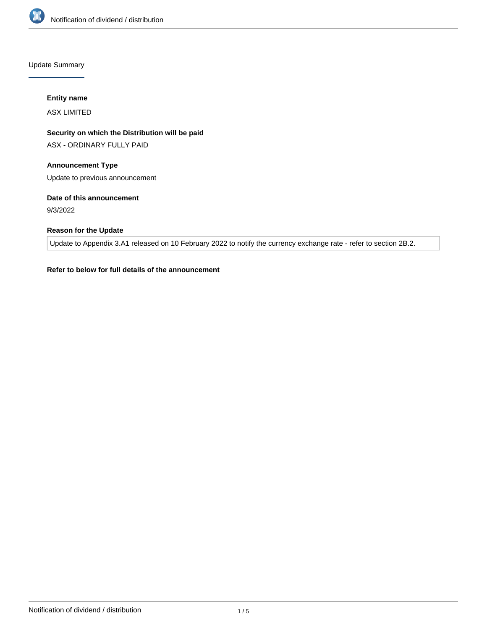

Update Summary

### **Entity name**

ASX LIMITED

# **Security on which the Distribution will be paid**

ASX - ORDINARY FULLY PAID

# **Announcement Type**

Update to previous announcement

## **Date of this announcement**

9/3/2022

## **Reason for the Update**

Update to Appendix 3.A1 released on 10 February 2022 to notify the currency exchange rate - refer to section 2B.2.

## **Refer to below for full details of the announcement**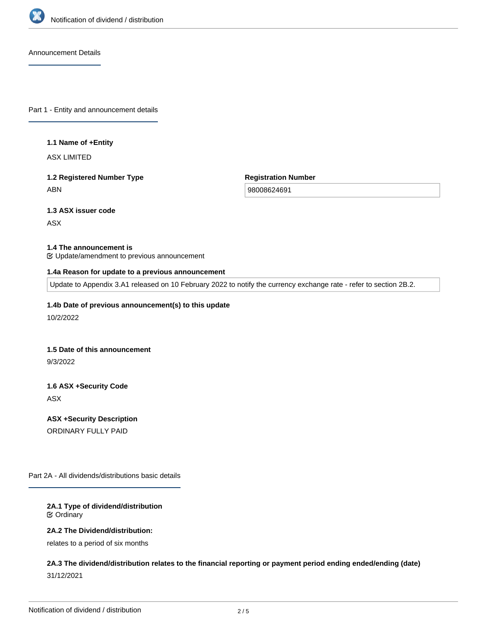

Announcement Details

Part 1 - Entity and announcement details

#### **1.1 Name of +Entity**

ASX LIMITED

# **1.2 Registered Number Type** ABN

**Registration Number**

98008624691

## **1.3 ASX issuer code**

ASX

### **1.4 The announcement is**

Update/amendment to previous announcement

### **1.4a Reason for update to a previous announcement**

Update to Appendix 3.A1 released on 10 February 2022 to notify the currency exchange rate - refer to section 2B.2.

### **1.4b Date of previous announcement(s) to this update**

10/2/2022

### **1.5 Date of this announcement**

9/3/2022

# **1.6 ASX +Security Code** ASX

**ASX +Security Description** ORDINARY FULLY PAID

Part 2A - All dividends/distributions basic details

### **2A.1 Type of dividend/distribution** Ordinary

### **2A.2 The Dividend/distribution:**

relates to a period of six months

# **2A.3 The dividend/distribution relates to the financial reporting or payment period ending ended/ending (date)** 31/12/2021

**2A.4 +Record Date**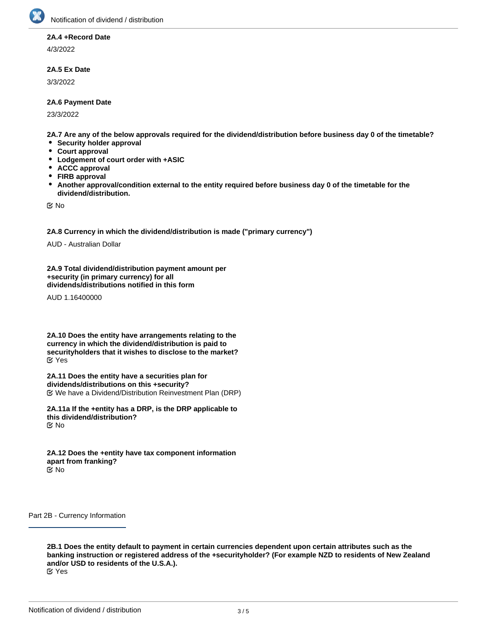

### **2A.4 +Record Date**

4/3/2022

## **2A.5 Ex Date**

3/3/2022

### **2A.6 Payment Date**

23/3/2022

**2A.7 Are any of the below approvals required for the dividend/distribution before business day 0 of the timetable?**

- **•** Security holder approval
- **Court approval**
- **Lodgement of court order with +ASIC**
- **ACCC approval**
- **FIRB approval**
- $\bullet$ **Another approval/condition external to the entity required before business day 0 of the timetable for the dividend/distribution.**

No

**2A.8 Currency in which the dividend/distribution is made ("primary currency")**

AUD - Australian Dollar

**2A.9 Total dividend/distribution payment amount per +security (in primary currency) for all dividends/distributions notified in this form**

AUD 1.16400000

**2A.10 Does the entity have arrangements relating to the currency in which the dividend/distribution is paid to securityholders that it wishes to disclose to the market?** Yes

**2A.11 Does the entity have a securities plan for dividends/distributions on this +security?** We have a Dividend/Distribution Reinvestment Plan (DRP)

**2A.11a If the +entity has a DRP, is the DRP applicable to this dividend/distribution?** No

**2A.12 Does the +entity have tax component information apart from franking?** No

Part 2B - Currency Information

**2B.1 Does the entity default to payment in certain currencies dependent upon certain attributes such as the banking instruction or registered address of the +securityholder? (For example NZD to residents of New Zealand and/or USD to residents of the U.S.A.).**

Yes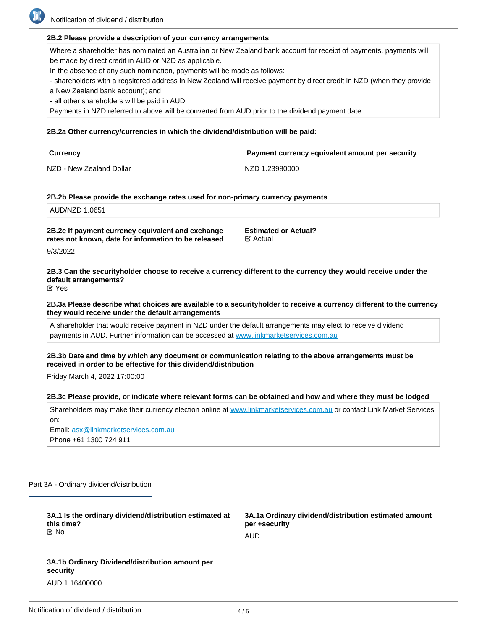Notification of dividend / distribution

### **2B.2 Please provide a description of your currency arrangements**

Where a shareholder has nominated an Australian or New Zealand bank account for receipt of payments, payments will be made by direct credit in AUD or NZD as applicable.

In the absence of any such nomination, payments will be made as follows:

- shareholders with a regsitered address in New Zealand will receive payment by direct credit in NZD (when they provide

a New Zealand bank account); and

- all other shareholders will be paid in AUD.

Payments in NZD referred to above will be converted from AUD prior to the dividend payment date

## **2B.2a Other currency/currencies in which the dividend/distribution will be paid:**

| Currency                 | Payment currency equivalent amount per security |
|--------------------------|-------------------------------------------------|
| NZD - New Zealand Dollar | NZD 1.23980000                                  |

### **2B.2b Please provide the exchange rates used for non-primary currency payments**

AUD/NZD 1.0651

**2B.2c If payment currency equivalent and exchange rates not known, date for information to be released**

9/3/2022

**2B.3 Can the securityholder choose to receive a currency different to the currency they would receive under the default arrangements?**

**Estimated or Actual?**

**K** Actual

Yes

**2B.3a Please describe what choices are available to a securityholder to receive a currency different to the currency they would receive under the default arrangements**

A shareholder that would receive payment in NZD under the default arrangements may elect to receive dividend payments in AUD. Further information can be accessed at [www.linkmarketservices.com.au](http://www.linkmarketservices.com.au)

### **2B.3b Date and time by which any document or communication relating to the above arrangements must be received in order to be effective for this dividend/distribution**

Friday March 4, 2022 17:00:00

#### **2B.3c Please provide, or indicate where relevant forms can be obtained and how and where they must be lodged**

Shareholders may make their currency election online at [www.linkmarketservices.com.au](http://www.linkmarketservices.com.au) or contact Link Market Services on: Email: asx@linkmarketservices.com.au Phone +61 1300 724 911

Part 3A - Ordinary dividend/distribution

| 3A.1 Is the ordinary dividend/distribution estimated at<br>this time?<br><u>ଟ</u> No | 3A.1a Ordinary dividend/distribution estimated amount<br>per +security |
|--------------------------------------------------------------------------------------|------------------------------------------------------------------------|
|                                                                                      | AUD                                                                    |
| 3A.1b Ordinary Dividend/distribution amount per<br>security                          |                                                                        |

AUD 1.16400000